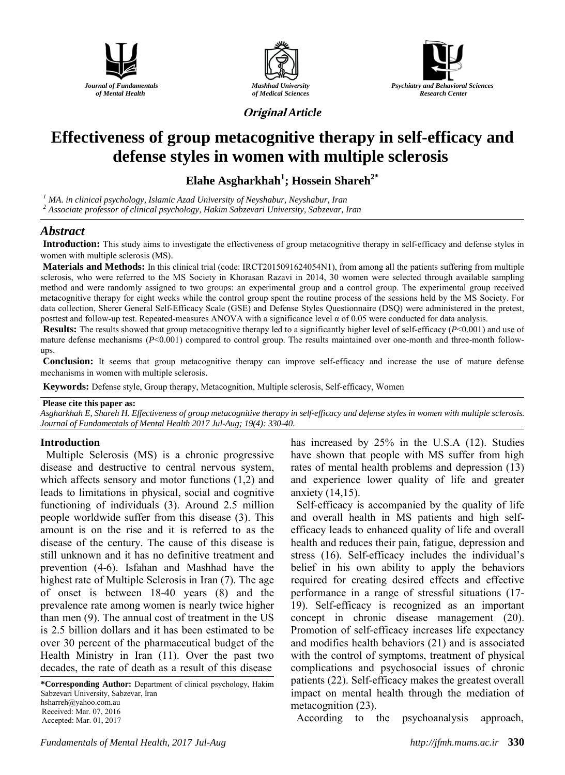





**Original** *Article*

# **Effectiveness of group metacognitive therapy in self-efficacy and defense styles in women with multiple sclerosis**

**Elahe Asgharkhah<sup>1</sup> ; Hossein Shareh2\***

*<sup>1</sup> MA. in clinical psychology, Islamic Azad University of Neyshabur, Neyshabur, Iran*

*<sup>2</sup> Associate professor of clinical psychology, Hakim Sabzevari University, Sabzevar, Iran*

# *Abstract*

**Introduction:** This study aims to investigate the effectiveness of group metacognitive therapy in self-efficacy and defense styles in women with multiple sclerosis (MS).

**Materials and Methods:** In this clinical trial (code: IRCT2015091624054N1), from among all the patients suffering from multiple sclerosis, who were referred to the MS Society in Khorasan Razavi in 2014, 30 women were selected through available sampling method and were randomly assigned to two groups: an experimental group and a control group. The experimental group received metacognitive therapy for eight weeks while the control group spent the routine process of the sessions held by the MS Society. For data collection, Sherer General Self-Efficacy Scale (GSE) and Defense Styles Questionnaire (DSQ) were administered in the pretest, posttest and follow-up test. Repeated-measures ANOVA with a significance level  $\alpha$  of 0.05 were conducted for data analysis.

**Results:** The results showed that group metacognitive therapy led to a significantly higher level of self-efficacy (*P*<0.001) and use of mature defense mechanisms (*P*<0.001) compared to control group. The results maintained over one-month and three-month followups.

**Conclusion:** It seems that group metacognitive therapy can improve self-efficacy and increase the use of mature defense mechanisms in women with multiple sclerosis.

**Keywords:** Defense style, Group therapy, Metacognition, Multiple sclerosis, Self-efficacy, Women

#### **Please cite this paper as:**

*Asgharkhah E, Shareh H. Effectiveness of group metacognitive therapy in self-efficacy and defense styles in women with multiple sclerosis. Journal of Fundamentals of Mental Health 2017 Jul-Aug; 19(4): 330-40.*

### **Introduction**

Multiple Sclerosis (MS) is a chronic progressive disease and destructive to central nervous system, which affects sensory and motor functions (1,2) and leads to limitations in physical, social and cognitive functioning of individuals (3). Around 2.5 million people worldwide suffer from this disease (3). This amount is on the rise and it is referred to as the disease of the century. The cause of this disease is still unknown and it has no definitive treatment and prevention (4-6). Isfahan and Mashhad have the highest rate of Multiple Sclerosis in Iran (7). The age of onset is between 18-40 years (8) and the prevalence rate among women is nearly twice higher than men (9). The annual cost of treatment in the US is 2.5 billion dollars and it has been estimated to be over 30 percent of the pharmaceutical budget of the Health Ministry in Iran (11). Over the past two decades, the rate of death as a result of this disease

**\*Corresponding Author:** Department of clinical psychology, Hakim Sabzevari University, Sabzevar, Iran hsharreh@yahoo.com.au Received: Mar. 07, 2016 Accepted: Mar. 01, 2017

has increased by 25% in the U.S.A (12). Studies have shown that people with MS suffer from high rates of mental health problems and depression (13) and experience lower quality of life and greater anxiety (14,15).

Self-efficacy is accompanied by the quality of life and overall health in MS patients and high selfefficacy leads to enhanced quality of life and overall health and reduces their pain, fatigue, depression and stress (16). Self-efficacy includes the individual's belief in his own ability to apply the behaviors required for creating desired effects and effective performance in a range of stressful situations (17- 19). Self-efficacy is recognized as an important concept in chronic disease management (20). Promotion of self-efficacy increases life expectancy and modifies health behaviors (21) and is associated with the control of symptoms, treatment of physical complications and psychosocial issues of chronic patients (22). Self-efficacy makes the greatest overall impact on mental health through the mediation of metacognition (23).

According to the psychoanalysis approach,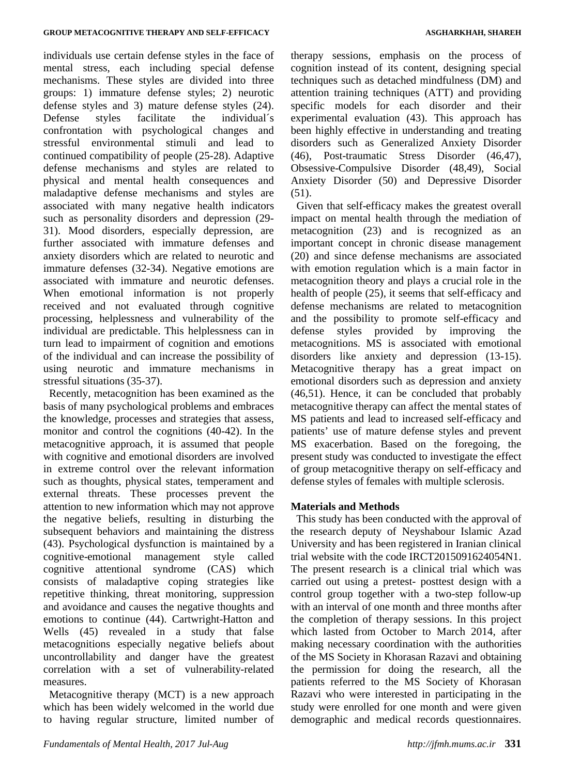individuals use certain defense styles in the face of mental stress, each including special defense mechanisms. These styles are divided into three groups: 1) immature defense styles; 2) neurotic defense styles and 3) mature defense styles (24). Defense styles facilitate the individual´s confrontation with psychological changes and stressful environmental stimuli and lead to continued compatibility of people (25-28). Adaptive defense mechanisms and styles are related to physical and mental health consequences and maladaptive defense mechanisms and styles are associated with many negative health indicators such as personality disorders and depression (29- 31). Mood disorders, especially depression, are further associated with immature defenses and anxiety disorders which are related to neurotic and immature defenses (32-34). Negative emotions are associated with immature and neurotic defenses. When emotional information is not properly received and not evaluated through cognitive processing, helplessness and vulnerability of the individual are predictable. This helplessness can in turn lead to impairment of cognition and emotions of the individual and can increase the possibility of using neurotic and immature mechanisms in stressful situations (35-37).

Recently, metacognition has been examined as the basis of many psychological problems and embraces the knowledge, processes and strategies that assess, monitor and control the cognitions (40-42). In the metacognitive approach, it is assumed that people with cognitive and emotional disorders are involved in extreme control over the relevant information such as thoughts, physical states, temperament and external threats. These processes prevent the attention to new information which may not approve the negative beliefs, resulting in disturbing the subsequent behaviors and maintaining the distress (43). Psychological dysfunction is maintained by a cognitive-emotional management style called cognitive attentional syndrome (CAS) which consists of maladaptive coping strategies like repetitive thinking, threat monitoring, suppression and avoidance and causes the negative thoughts and emotions to continue (44). Cartwright-Hatton and Wells (45) revealed in a study that false metacognitions especially negative beliefs about uncontrollability and danger have the greatest correlation with a set of vulnerability-related measures.

Metacognitive therapy (MCT) is a new approach which has been widely welcomed in the world due to having regular structure, limited number of therapy sessions, emphasis on the process of cognition instead of its content, designing special techniques such as detached mindfulness (DM) and attention training techniques (ATT) and providing specific models for each disorder and their experimental evaluation (43). This approach has been highly effective in understanding and treating disorders such as Generalized Anxiety Disorder (46), Post-traumatic Stress Disorder (46,47), Obsessive-Compulsive Disorder (48,49), Social Anxiety Disorder (50) and Depressive Disorder (51).

Given that self-efficacy makes the greatest overall impact on mental health through the mediation of metacognition (23) and is recognized as an important concept in chronic disease management (20) and since defense mechanisms are associated with emotion regulation which is a main factor in metacognition theory and plays a crucial role in the health of people (25), it seems that self-efficacy and defense mechanisms are related to metacognition and the possibility to promote self-efficacy and defense styles provided by improving the metacognitions. MS is associated with emotional disorders like anxiety and depression (13-15). Metacognitive therapy has a great impact on emotional disorders such as depression and anxiety (46,51). Hence, it can be concluded that probably metacognitive therapy can affect the mental states of MS patients and lead to increased self-efficacy and patients' use of mature defense styles and prevent MS exacerbation. Based on the foregoing, the present study was conducted to investigate the effect of group metacognitive therapy on self-efficacy and defense styles of females with multiple sclerosis.

### **Materials and Methods**

This study has been conducted with the approval of the research deputy of Neyshabour Islamic Azad University and has been registered in Iranian clinical trial website with the code IRCT2015091624054N1. The present research is a clinical trial which was carried out using a pretest- posttest design with a control group together with a two-step follow-up with an interval of one month and three months after the completion of therapy sessions. In this project which lasted from October to March 2014, after making necessary coordination with the authorities of the MS Society in Khorasan Razavi and obtaining the permission for doing the research, all the patients referred to the MS Society of Khorasan Razavi who were interested in participating in the study were enrolled for one month and were given demographic and medical records questionnaires.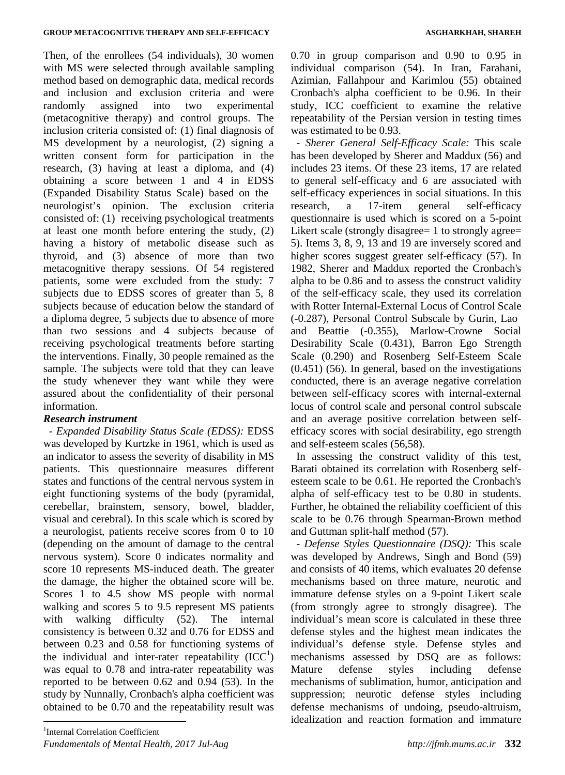Then, of the enrollees (54 individuals), 30 women with MS were selected through available sampling method based on demographic data, medical records and inclusion and exclusion criteria and were randomly assigned into two experimental (metacognitive therapy) and control groups. The inclusion criteria consisted of: (1) final diagnosis of MS development by a neurologist, (2) signing a written consent form for participation in the research, (3) having at least a diploma, and (4) obtaining a score between 1 and 4 in EDSS (Expanded Disability Status Scale) based on the neurologist's opinion. The exclusion criteria consisted of: (1) receiving psychological treatments at least one month before entering the study, (2) having a history of metabolic disease such as thyroid, and (3) absence of more than two metacognitive therapy sessions. Of 54 registered patients, some were excluded from the study: 7 subjects due to EDSS scores of greater than 5, 8 subjects because of education below the standard of a diploma degree, 5 subjects due to absence of more than two sessions and 4 subjects because of receiving psychological treatments before starting the interventions. Finally, 30 people remained as the sample. The subjects were told that they can leave the study whenever they want while they were assured about the confidentiality of their personal information.

## *Research instrument*

*- Expanded Disability Status Scale (EDSS):* EDSS was developed by Kurtzke in 1961, which is used as an indicator to assess the severity of disability in MS patients. This questionnaire measures different states and functions of the central nervous system in eight functioning systems of the body (pyramidal, cerebellar, brainstem, sensory, bowel, bladder, visual and cerebral). In this scale which is scored by a neurologist, patients receive scores from 0 to 10 (depending on the amount of damage to the central nervous system). Score 0 indicates normality and score 10 represents MS-induced death. The greater the damage, the higher the obtained score will be. Scores 1 to 4.5 show MS people with normal walking and scores 5 to 9.5 represent MS patients with walking difficulty (52). The internal consistency is between 0.32 and 0.76 for EDSS and between 0.23 and 0.58 for functioning systems of the individual and inter-rater repeatability  $(ICC<sup>1</sup>)$ was equal to 0.78 and intra-rater repeatability was reported to be between 0.62 and 0.94 (53). In the study by Nunnally, Cronbach's alpha coefficient was obtained to be 0.70 and the repeatability result was

0.70 in group comparison and 0.90 to 0.95 in individual comparison (54). In Iran, Farahani, Azimian, Fallahpour and Karimlou (55) obtained Cronbach's alpha coefficient to be 0.96. In their study, ICC coefficient to examine the relative repeatability of the Persian version in testing times was estimated to be 0.93.

*- Sherer General Self-Efficacy Scale:* This scale has been developed by Sherer and Maddux (56) and includes 23 items. Of these 23 items, 17 are related to general self-efficacy and 6 are associated with self-efficacy experiences in social situations. In this research, a 17-item general self-efficacy questionnaire is used which is scored on a 5-point Likert scale (strongly disagree= 1 to strongly agree= 5). Items 3, 8, 9, 13 and 19 are inversely scored and higher scores suggest greater self-efficacy (57). In 1982, Sherer and Maddux reported the Cronbach's alpha to be 0.86 and to assess the construct validity of the self-efficacy scale, they used its correlation with Rotter Internal-External Locus of Control Scale (-0.287), Personal Control Subscale by Gurin, Lao and Beattie (-0.355), Marlow-Crowne Social Desirability Scale (0.431), Barron Ego Strength Scale (0.290) and Rosenberg Self-Esteem Scale (0.451) (56). In general, based on the investigations conducted, there is an average negative correlation between self-efficacy scores with internal-external locus of control scale and personal control subscale and an average positive correlation between selfefficacy scores with social desirability, ego strength and self-esteem scales (56,58).

In assessing the construct validity of this test, Barati obtained its correlation with Rosenberg selfesteem scale to be 0.61. He reported the Cronbach's alpha of self-efficacy test to be 0.80 in students. Further, he obtained the reliability coefficient of this scale to be 0.76 through Spearman-Brown method and Guttman split-half method (57).

*- Defense Styles Questionnaire (DSQ):* This scale was developed by Andrews, Singh and Bond (59) and consists of 40 items, which evaluates 20 defense mechanisms based on three mature, neurotic and immature defense styles on a 9-point Likert scale (from strongly agree to strongly disagree). The individual's mean score is calculated in these three defense styles and the highest mean indicates the individual's defense style. Defense styles and mechanisms assessed by DSQ are as follows: Mature defense styles including defense mechanisms of sublimation, humor, anticipation and suppression; neurotic defense styles including defense mechanisms of undoing, pseudo-altruism, idealization and reaction formation and immature

 $\overline{a}$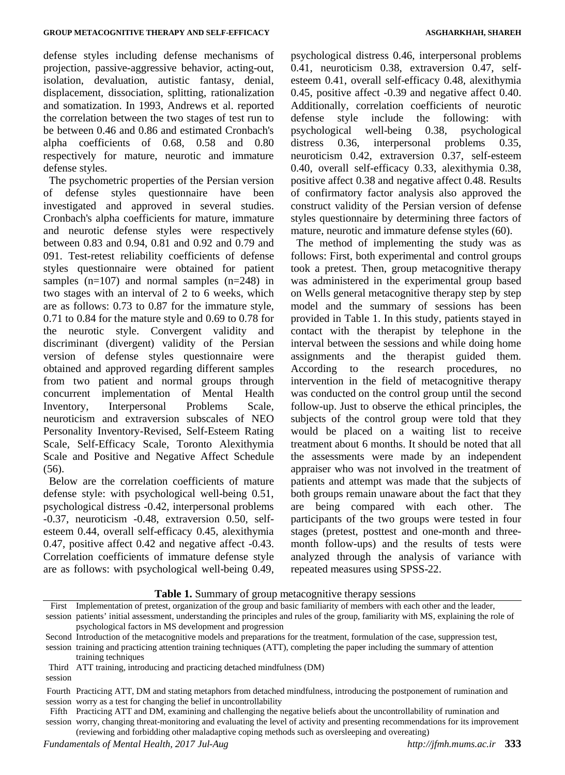defense styles including defense mechanisms of projection, passive-aggressive behavior, acting-out, isolation, devaluation, autistic fantasy, denial, displacement, dissociation, splitting, rationalization and somatization. In 1993, Andrews et al. reported the correlation between the two stages of test run to be between 0.46 and 0.86 and estimated Cronbach's alpha coefficients of 0.68, 0.58 and 0.80 respectively for mature, neurotic and immature defense styles.

The psychometric properties of the Persian version of defense styles questionnaire have been investigated and approved in several studies. Cronbach's alpha coefficients for mature, immature and neurotic defense styles were respectively between 0.83 and 0.94, 0.81 and 0.92 and 0.79 and 091. Test-retest reliability coefficients of defense styles questionnaire were obtained for patient samples  $(n=107)$  and normal samples  $(n=248)$  in two stages with an interval of 2 to 6 weeks, which are as follows: 0.73 to 0.87 for the immature style, 0.71 to 0.84 for the mature style and 0.69 to 0.78 for the neurotic style. Convergent validity and discriminant (divergent) validity of the Persian version of defense styles questionnaire were obtained and approved regarding different samples from two patient and normal groups through concurrent implementation of Mental Health Inventory, Interpersonal Problems Scale, neuroticism and extraversion subscales of NEO Personality Inventory-Revised, Self-Esteem Rating Scale, Self-Efficacy Scale, Toronto Alexithymia Scale and Positive and Negative Affect Schedule  $(56)$ .

Below are the correlation coefficients of mature defense style: with psychological well-being 0.51, psychological distress -0.42, interpersonal problems -0.37, neuroticism -0.48, extraversion 0.50, selfesteem 0.44, overall self-efficacy 0.45, alexithymia 0.47, positive affect 0.42 and negative affect -0.43. Correlation coefficients of immature defense style are as follows: with psychological well-being 0.49,

psychological distress 0.46, interpersonal problems 0.41, neuroticism 0.38, extraversion 0.47, selfesteem 0.41, overall self-efficacy 0.48, alexithymia 0.45, positive affect -0.39 and negative affect 0.40. Additionally, correlation coefficients of neurotic defense style include the following: with psychological well-being 0.38, psychological distress 0.36, interpersonal problems 0.35, neuroticism 0.42, extraversion 0.37, self-esteem 0.40, overall self-efficacy 0.33, alexithymia 0.38, positive affect 0.38 and negative affect 0.48. Results of confirmatory factor analysis also approved the construct validity of the Persian version of defense styles questionnaire by determining three factors of mature, neurotic and immature defense styles (60).

The method of implementing the study was as follows: First, both experimental and control groups took a pretest. Then, group metacognitive therapy was administered in the experimental group based on Wells general metacognitive therapy step by step model and the summary of sessions has been provided in Table 1. In this study, patients stayed in contact with the therapist by telephone in the interval between the sessions and while doing home assignments and the therapist guided them. According to the research procedures, no intervention in the field of metacognitive therapy was conducted on the control group until the second follow-up. Just to observe the ethical principles, the subjects of the control group were told that they would be placed on a waiting list to receive treatment about 6 months. It should be noted that all the assessments were made by an independent appraiser who was not involved in the treatment of patients and attempt was made that the subjects of both groups remain unaware about the fact that they are being compared with each other. The participants of the two groups were tested in four stages (pretest, posttest and one-month and threemonth follow-ups) and the results of tests were analyzed through the analysis of variance with repeated measures using SPSS-22.

**Table 1.** Summary of group metacognitive therapy sessions

session worry, changing threat-monitoring and evaluating the level of activity and presenting recommendations for its improvement

First session patients' initial assessment, understanding the principles and rules of the group, familiarity with MS, explaining the role of Implementation of pretest, organization of the group and basic familiarity of members with each other and the leader, psychological factors in MS development and progression Second Introduction of the metacognitive models and preparations for the treatment, formulation of the case, suppression test, session training and practicing attention training techniques (ATT), completing the paper including the summary of attention training techniques Third ATT training, introducing and practicing detached mindfulness (DM) session Fourth Practicing ATT, DM and stating metaphors from detached mindfulness, introducing the postponement of rumination and session worry as a test for changing the belief in uncontrollability Fifth Practicing ATT and DM, examining and challenging the negative beliefs about the uncontrollability of rumination and

<sup>(</sup>reviewing and forbidding other maladaptive coping methods such as oversleeping and overeating)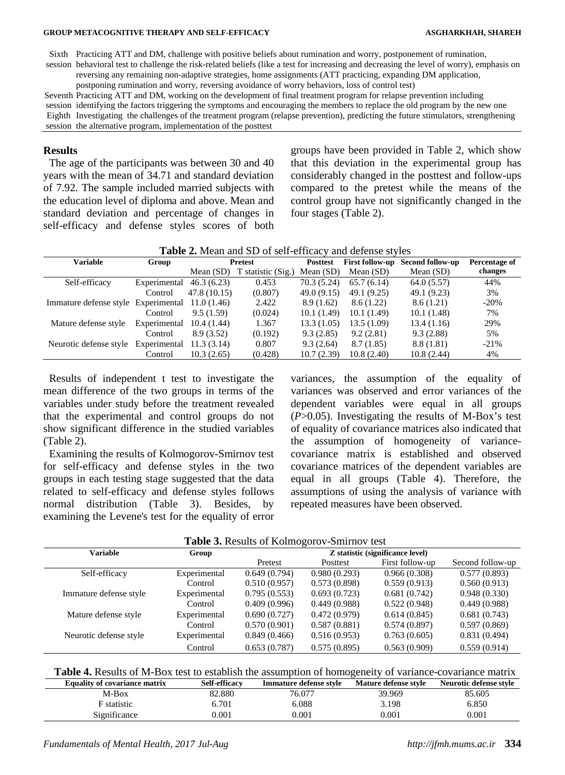#### **GROUP METACOGNITIVE THERAPY AND SELF-EFFICACY ASGHARKHAH, SHAREH**

Sixth Practicing ATT and DM, challenge with positive beliefs about rumination and worry, postponement of rumination, session behavioral test to challenge the risk-related beliefs (like a test for increasing and decreasing the level of worry), emphasis on reversing any remaining non-adaptive strategies, home assignments (ATT practicing, expanding DM application,

postponing rumination and worry, reversing avoidance of worry behaviors, loss of control test)

Seventh Practicing ATT and DM, working on the development of final treatment program for relapse prevention including session identifying the factors triggering the symptoms and encouraging the members to replace the old program by the new one Eighth Investigating the challenges of the treatment program (relapse prevention), predicting the future stimulators, strengthening session the alternative program, implementation of the posttest

#### **Results**

The age of the participants was between 30 and 40 years with the mean of 34.71 and standard deviation of 7.92. The sample included married subjects with the education level of diploma and above. Mean and standard deviation and percentage of changes in self-efficacy and defense styles scores of both

groups have been provided in Table 2, which show that this deviation in the experimental group has considerably changed in the posttest and follow-ups compared to the pretest while the means of the control group have not significantly changed in the four stages (Table 2).

| <b>Variable</b>                     | Group        | <b>Pretest</b> |                    | <b>Posttest</b> | <b>First follow-up</b> | Second follow-up | Percentage of |
|-------------------------------------|--------------|----------------|--------------------|-----------------|------------------------|------------------|---------------|
|                                     |              | Mean $(SD)$    | T statistic (Sig.) | Mean $(SD)$     | Mean $(SD)$            | Mean $(SD)$      | changes       |
| Self-efficacy                       | Experimental | 46.3(6.23)     | 0.453              | 70.3(5.24)      | 65.7(6.14)             | 64.0(5.57)       | 44%           |
|                                     | Control      | 47.8 (10.15)   | (0.807)            | 49.0(9.15)      | 49.1 (9.25)            | 49.1 (9.23)      | 3%            |
| Immature defense style Experimental |              | 11.0(1.46)     | 2.422              | 8.9(1.62)       | 8.6(1.22)              | 8.6(1.21)        | $-20%$        |
|                                     | Control      | 9.5(1.59)      | (0.024)            | 10.1(1.49)      | 10.1 (1.49)            | 10.1(1.48)       | 7%            |
| Mature defense style                | Experimental | 10.4(1.44)     | 1.367              | 13.3(1.05)      | 13.5 (1.09)            | 13.4(1.16)       | 29%           |
|                                     | Control      | 8.9(3.52)      | (0.192)            | 9.3(2.85)       | 9.2(2.81)              | 9.3(2.88)        | 5%            |
| Neurotic defense style              | Experimental | 11.3(3.14)     | 0.807              | 9.3(2.64)       | 8.7(1.85)              | 8.8(1.81)        | $-21%$        |
|                                     | Control      | 10.3(2.65)     | (0.428)            | 10.7(2.39)      | 10.8(2.40)             | 10.8(2.44)       | 4%            |

Results of independent t test to investigate the mean difference of the two groups in terms of the variables under study before the treatment revealed that the experimental and control groups do not show significant difference in the studied variables (Table 2).

Examining the results of Kolmogorov-Smirnov test for self-efficacy and defense styles in the two groups in each testing stage suggested that the data related to self-efficacy and defense styles follows normal distribution (Table 3). Besides, by examining the Levene's test for the equality of error

variances, the assumption of the equality of variances was observed and error variances of the dependent variables were equal in all groups (*P*>0.05). Investigating the results of M-Box's test of equality of covariance matrices also indicated that the assumption of homogeneity of variancecovariance matrix is established and observed covariance matrices of the dependent variables are equal in all groups (Table 4). Therefore, the assumptions of using the analysis of variance with repeated measures have been observed.

| Table 3. Results of Kolmogorov-Smirnov test |              |                                  |              |                 |                  |  |  |
|---------------------------------------------|--------------|----------------------------------|--------------|-----------------|------------------|--|--|
| Variable                                    | Group        | Z statistic (significance level) |              |                 |                  |  |  |
|                                             |              | Pretest                          | Posttest     | First follow-up | Second follow-up |  |  |
| Self-efficacy                               | Experimental | 0.649(0.794)                     | 0.980(0.293) | 0.966(0.308)    | 0.577(0.893)     |  |  |
|                                             | Control      | 0.510(0.957)                     | 0.573(0.898) | 0.559(0.913)    | 0.560(0.913)     |  |  |
| Immature defense style                      | Experimental | 0.795(0.553)                     | 0.693(0.723) | 0.681(0.742)    | 0.948(0.330)     |  |  |
|                                             | Control      | 0.409(0.996)                     | 0.449(0.988) | 0.522(0.948)    | 0.449(0.988)     |  |  |
| Mature defense style                        | Experimental | 0.690(0.727)                     | 0.472(0.979) | 0.614(0.845)    | 0.681(0.743)     |  |  |
|                                             | Control      | 0.570(0.901)                     | 0.587(0.881) | 0.574(0.897)    | 0.597(0.869)     |  |  |
| Neurotic defense style                      | Experimental | 0.849(0.466)                     | 0.516(0.953) | 0.763(0.605)    | 0.831(0.494)     |  |  |
|                                             | Control      | 0.653(0.787)                     | 0.575(0.895) | 0.563(0.909)    | 0.559(0.914)     |  |  |

**Table 4.** Results of M-Box test to establish the assumption of homogeneity of variance-covariance matrix

| <b>Equality of covariance matrix</b> | <b>Self-efficacy</b> | Immature defense style | Mature defense style | Neurotic defense style |
|--------------------------------------|----------------------|------------------------|----------------------|------------------------|
| M-Box                                | 82.880               | 76.077                 | 39.969               | 85.605                 |
| statistic                            | 6.701                | 6.088                  | 3.198                | 6.850                  |
| Significance                         | $0.001\,$            | $0.001\,$              | $\rm 0.001$          | 0.001                  |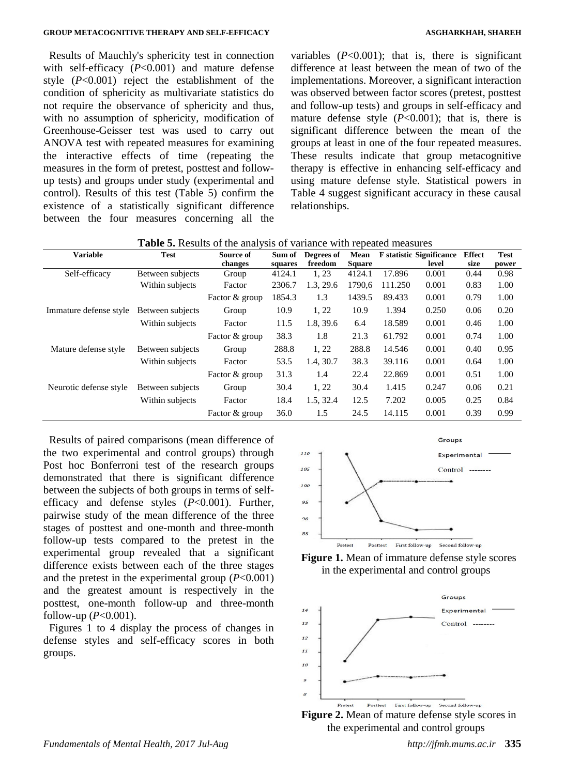Results of Mauchly's sphericity test in connection with self-efficacy (*P*<0.001) and mature defense style (*P*<0.001) reject the establishment of the condition of sphericity as multivariate statistics do not require the observance of sphericity and thus, with no assumption of sphericity, modification of Greenhouse-Geisser test was used to carry out ANOVA test with repeated measures for examining the interactive effects of time (repeating the measures in the form of pretest, posttest and followup tests) and groups under study (experimental and control). Results of this test (Table 5) confirm the existence of a statistically significant difference between the four measures concerning all the

variables  $(P<0.001)$ ; that is, there is significant difference at least between the mean of two of the implementations. Moreover, a significant interaction was observed between factor scores (pretest, posttest and follow-up tests) and groups in self-efficacy and mature defense style  $(P<0.001)$ ; that is, there is significant difference between the mean of the groups at least in one of the four repeated measures. These results indicate that group metacognitive therapy is effective in enhancing self-efficacy and using mature defense style. Statistical powers in Table 4 suggest significant accuracy in these causal relationships.

| <b>Variable</b>        | <b>Test</b>      | Source of      | Sum of  | Degrees of | Mean          |         | <b>F</b> statistic Significance | <b>Effect</b> | <b>Test</b> |
|------------------------|------------------|----------------|---------|------------|---------------|---------|---------------------------------|---------------|-------------|
|                        |                  | changes        | squares | freedom    | <b>Square</b> |         | level                           | size          | power       |
| Self-efficacy          | Between subjects | Group          | 4124.1  | 1, 23      | 4124.1        | 17.896  | 0.001                           | 0.44          | 0.98        |
|                        | Within subjects  | Factor         | 2306.7  | 1.3, 29.6  | 1790.6        | 111.250 | 0.001                           | 0.83          | 1.00        |
|                        |                  | Factor & group | 1854.3  | 1.3        | 1439.5        | 89.433  | 0.001                           | 0.79          | 1.00        |
| Immature defense style | Between subjects | Group          | 10.9    | 1, 22      | 10.9          | 1.394   | 0.250                           | 0.06          | 0.20        |
|                        | Within subjects  | Factor         | 11.5    | 1.8, 39.6  | 6.4           | 18.589  | 0.001                           | 0.46          | 1.00        |
|                        |                  | Factor & group | 38.3    | 1.8        | 21.3          | 61.792  | 0.001                           | 0.74          | 1.00        |
| Mature defense style   | Between subjects | Group          | 288.8   | 1, 22      | 288.8         | 14.546  | 0.001                           | 0.40          | 0.95        |
|                        | Within subjects  | Factor         | 53.5    | 1.4, 30.7  | 38.3          | 39.116  | 0.001                           | 0.64          | 1.00        |
|                        |                  | Factor & group | 31.3    | 1.4        | 22.4          | 22.869  | 0.001                           | 0.51          | 1.00        |
| Neurotic defense style | Between subjects | Group          | 30.4    | 1, 22      | 30.4          | 1.415   | 0.247                           | 0.06          | 0.21        |
|                        | Within subjects  | Factor         | 18.4    | 1.5, 32.4  | 12.5          | 7.202   | 0.005                           | 0.25          | 0.84        |
|                        |                  | Factor & group | 36.0    | 1.5        | 24.5          | 14.115  | 0.001                           | 0.39          | 0.99        |

Results of paired comparisons (mean difference of the two experimental and control groups) through Post hoc Bonferroni test of the research groups demonstrated that there is significant difference between the subjects of both groups in terms of selfefficacy and defense styles (*P*<0.001). Further, pairwise study of the mean difference of the three stages of posttest and one-month and three-month follow-up tests compared to the pretest in the experimental group revealed that a significant difference exists between each of the three stages and the pretest in the experimental group (*P*<0.001) and the greatest amount is respectively in the posttest, one-month follow-up and three-month follow-up (*P*<0.001).

Figures 1 to 4 display the process of changes in defense styles and self-efficacy scores in both groups.







**Figure 2.** Mean of mature defense style scores in the experimental and control groups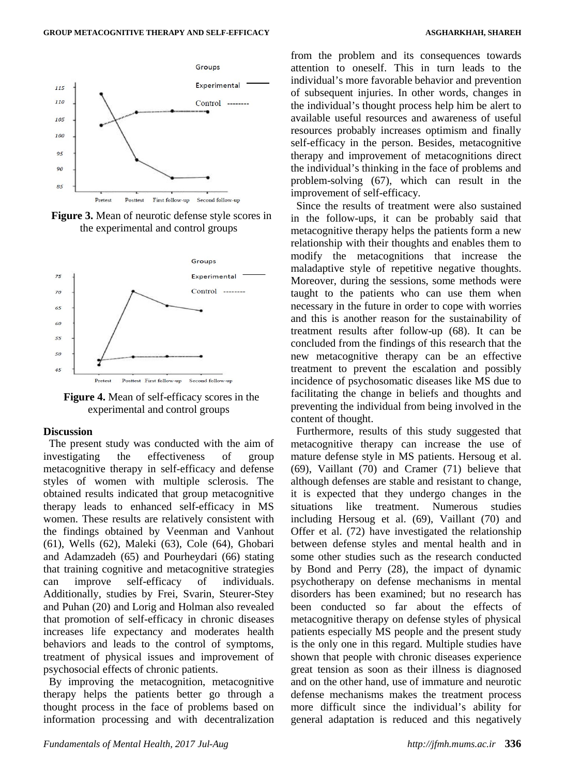

Pretest Posttest First follow-up Second follow-up

**Figure 3.** Mean of neurotic defense style scores in the experimental and control groups



**Figure 4.** Mean of self-efficacy scores in the experimental and control groups

#### **Discussion**

The present study was conducted with the aim of investigating the effectiveness of group metacognitive therapy in self-efficacy and defense styles of women with multiple sclerosis. The obtained results indicated that group metacognitive therapy leads to enhanced self-efficacy in MS women. These results are relatively consistent with the findings obtained by Veenman and Vanhout (61), Wells (62), Maleki (63), Cole (64), Ghobari and Adamzadeh (65) and Pourheydari (66) stating that training cognitive and metacognitive strategies can improve self-efficacy of individuals. Additionally, studies by Frei, Svarin, Steurer-Stey and Puhan (20) and Lorig and Holman also revealed that promotion of self-efficacy in chronic diseases increases life expectancy and moderates health behaviors and leads to the control of symptoms, treatment of physical issues and improvement of psychosocial effects of chronic patients.

By improving the metacognition, metacognitive therapy helps the patients better go through a thought process in the face of problems based on information processing and with decentralization

from the problem and its consequences towards attention to oneself. This in turn leads to the individual's more favorable behavior and prevention of subsequent injuries. In other words, changes in the individual's thought process help him be alert to available useful resources and awareness of useful resources probably increases optimism and finally self-efficacy in the person. Besides, metacognitive therapy and improvement of metacognitions direct the individual's thinking in the face of problems and problem-solving (67), which can result in the improvement of self-efficacy.

Since the results of treatment were also sustained in the follow-ups, it can be probably said that metacognitive therapy helps the patients form a new relationship with their thoughts and enables them to modify the metacognitions that increase the maladaptive style of repetitive negative thoughts. Moreover, during the sessions, some methods were taught to the patients who can use them when necessary in the future in order to cope with worries and this is another reason for the sustainability of treatment results after follow-up (68). It can be concluded from the findings of this research that the new metacognitive therapy can be an effective treatment to prevent the escalation and possibly incidence of psychosomatic diseases like MS due to facilitating the change in beliefs and thoughts and preventing the individual from being involved in the content of thought.

Furthermore, results of this study suggested that metacognitive therapy can increase the use of mature defense style in MS patients. Hersoug et al. (69), Vaillant (70) and Cramer (71) believe that although defenses are stable and resistant to change, it is expected that they undergo changes in the situations like treatment. Numerous studies including Hersoug et al. (69), Vaillant (70) and Offer et al. (72) have investigated the relationship between defense styles and mental health and in some other studies such as the research conducted by Bond and Perry (28), the impact of dynamic psychotherapy on defense mechanisms in mental disorders has been examined; but no research has been conducted so far about the effects of metacognitive therapy on defense styles of physical patients especially MS people and the present study is the only one in this regard. Multiple studies have shown that people with chronic diseases experience great tension as soon as their illness is diagnosed and on the other hand, use of immature and neurotic defense mechanisms makes the treatment process more difficult since the individual's ability for general adaptation is reduced and this negatively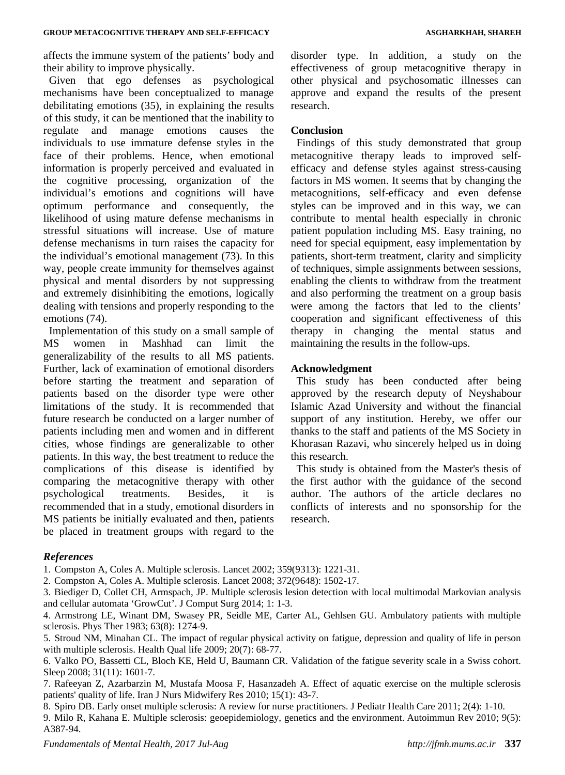affects the immune system of the patients' body and their ability to improve physically.

Given that ego defenses as psychological mechanisms have been conceptualized to manage debilitating emotions (35), in explaining the results of this study, it can be mentioned that the inability to regulate and manage emotions causes the individuals to use immature defense styles in the face of their problems. Hence, when emotional information is properly perceived and evaluated in the cognitive processing, organization of the individual's emotions and cognitions will have optimum performance and consequently, the likelihood of using mature defense mechanisms in stressful situations will increase. Use of mature defense mechanisms in turn raises the capacity for the individual's emotional management (73). In this way, people create immunity for themselves against physical and mental disorders by not suppressing and extremely disinhibiting the emotions, logically dealing with tensions and properly responding to the emotions (74).

Implementation of this study on a small sample of MS women in Mashhad can limit the generalizability of the results to all MS patients. Further, lack of examination of emotional disorders before starting the treatment and separation of patients based on the disorder type were other limitations of the study. It is recommended that future research be conducted on a larger number of patients including men and women and in different cities, whose findings are generalizable to other patients. In this way, the best treatment to reduce the complications of this disease is identified by comparing the metacognitive therapy with other psychological treatments. Besides, it is recommended that in a study, emotional disorders in MS patients be initially evaluated and then, patients be placed in treatment groups with regard to the

disorder type. In addition, a study on the effectiveness of group metacognitive therapy in other physical and psychosomatic illnesses can approve and expand the results of the present research.

#### **Conclusion**

Findings of this study demonstrated that group metacognitive therapy leads to improved selfefficacy and defense styles against stress-causing factors in MS women. It seems that by changing the metacognitions, self-efficacy and even defense styles can be improved and in this way, we can contribute to mental health especially in chronic patient population including MS. Easy training, no need for special equipment, easy implementation by patients, short-term treatment, clarity and simplicity of techniques, simple assignments between sessions, enabling the clients to withdraw from the treatment and also performing the treatment on a group basis were among the factors that led to the clients' cooperation and significant effectiveness of this therapy in changing the mental status and maintaining the results in the follow-ups.

#### **Acknowledgment**

This study has been conducted after being approved by the research deputy of Neyshabour Islamic Azad University and without the financial support of any institution. Hereby, we offer our thanks to the staff and patients of the MS Society in Khorasan Razavi, who sincerely helped us in doing this research.

This study is obtained from the Master's thesis of the first author with the guidance of the second author. The authors of the article declares no conflicts of interests and no sponsorship for the research.

#### *References*

1. Compston A, Coles A. Multiple sclerosis. Lancet 2002; 359(9313): 1221-31.

2. Compston A, Coles A. Multiple sclerosis. Lancet 2008; 372(9648): 1502-17.

3. Biediger D, Collet CH, Armspach, JP. Multiple sclerosis lesion detection with local multimodal Markovian analysis and cellular automata 'GrowCut'. J Comput Surg 2014; 1: 1-3.

4. Armstrong LE, Winant DM, Swasey PR, Seidle ME, Carter AL, Gehlsen GU. Ambulatory patients with multiple sclerosis. Phys Ther 1983; 63(8): 1274-9.

5. Stroud NM, Minahan CL. The impact of regular physical activity on fatigue, depression and quality of life in person with multiple sclerosis. Health Qual life 2009; 20(7): 68-77.

6. Valko PO, Bassetti CL, Bloch KE, Held U, Baumann CR. Validation of the fatigue severity scale in a Swiss cohort. Sleep 2008: 31(11): 1601-7.

7. Rafeeyan Z, Azarbarzin M, Mustafa Moosa F, Hasanzadeh A. Effect of aquatic exercise on the multiple sclerosis patients' quality of life. Iran J Nurs Midwifery Res 2010; 15(1): 43-7.

8. Spiro DB. Early onset multiple sclerosis: A review for nurse practitioners. J Pediatr Health Care 2011; 2(4): 1-10.

9. Milo R, Kahana E. Multiple sclerosis: geoepidemiology, genetics and the environment. Autoimmun Rev 2010; 9(5): A387-94.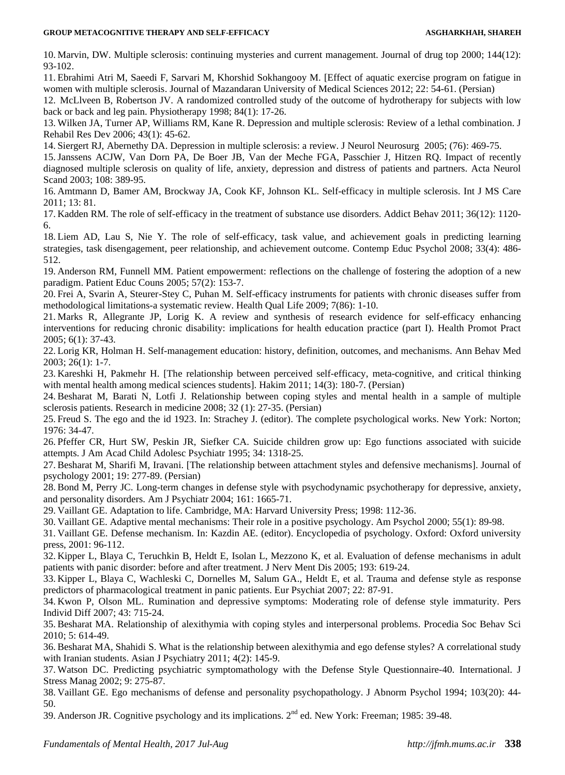10. Marvin, DW. Multiple sclerosis: continuing mysteries and current management. Journal of drug top 2000; 144(12): 93-102.

11. Ebrahimi Atri M, Saeedi F, Sarvari M, Khorshid Sokhangooy M. [Effect of aquatic exercise program on fatigue in women with multiple sclerosis. Journal of Mazandaran University of Medical Sciences 2012; 22: 54-61. (Persian)

12. McLlveen B, Robertson JV. A randomized controlled study of the outcome of hydrotherapy for subjects with low back or back and leg pain. Physiotherapy 1998; 84(1): 17-26.

13. Wilken JA, Turner AP, Williams RM, Kane R. Depression and multiple sclerosis: Review of a lethal combination. J Rehabil Res Dev 2006; 43(1): 45-62.

14. Siergert RJ, Abernethy DA. Depression in multiple sclerosis: a review. J Neurol Neurosurg 2005; (76): 469-75.

15. Janssens ACJW, Van Dorn PA, De Boer JB, Van der Meche FGA, Passchier J, Hitzen RQ. Impact of recently diagnosed multiple sclerosis on quality of life, anxiety, depression and distress of patients and partners. Acta Neurol Scand 2003: 108: 389-95.

16. Amtmann D, Bamer AM, Brockway JA, Cook KF, Johnson KL. Self-efficacy in multiple sclerosis. Int J MS Care 2011; 13: 81.

17. Kadden RM. The role of self-efficacy in the treatment of substance use disorders. Addict Behav 2011; 36(12): 1120- 6.

18. Liem AD, Lau S, Nie Y. The role of self-efficacy, task value, and achievement goals in predicting learning strategies, task disengagement, peer relationship, and achievement outcome. Contemp Educ Psychol 2008; 33(4): 486- 512.

19. Anderson RM, Funnell MM. Patient empowerment: reflections on the challenge of fostering the adoption of a new paradigm. Patient Educ Couns 2005; 57(2): 153-7.

20. Frei A, Svarin A, Steurer-Stey C, Puhan M. Self-efficacy instruments for patients with chronic diseases suffer from methodological limitations-a systematic review. Health Qual Life 2009; 7(86): 1-10.

21. Marks R, Allegrante JP, Lorig K. A review and synthesis of research evidence for self-efficacy enhancing interventions for reducing chronic disability: implications for health education practice (part I). Health Promot Pract 2005; 6(1): 37-43.

22. Lorig KR, Holman H. Self-management education: history, definition, outcomes, and mechanisms. Ann Behav Med 2003; 26(1): 1-7.

23. Kareshki H, Pakmehr H. [The relationship between perceived self-efficacy, meta-cognitive, and critical thinking with mental health among medical sciences students]. Hakim 2011; 14(3): 180-7. (Persian)

24. Besharat M, Barati N, Lotfi J. Relationship between coping styles and mental health in a sample of multiple sclerosis patients. Research in medicine 2008; 32 (1): 27-35. (Persian)

25. Freud S. The ego and the id 1923. In: Strachey J. (editor). The complete psychological works. New York: Norton; 1976: 34-47.

26. Pfeffer CR, Hurt SW, Peskin JR, Siefker CA. Suicide children grow up: Ego functions associated with suicide attempts. J Am Acad Child Adolesc Psychiatr 1995; 34: 1318-25.

27. Besharat M, Sharifi M, Iravani. [The relationship between attachment styles and defensive mechanisms]. Journal of psychology 2001; 19: 277-89. (Persian)

28. Bond M, Perry JC. Long-term changes in defense style with psychodynamic psychotherapy for depressive, anxiety, and personality disorders. Am J Psychiatr 2004; 161: 1665-71.

29. Vaillant GE. Adaptation to life. Cambridge, MA: Harvard University Press; 1998: 112-36.

30. Vaillant GE. Adaptive mental mechanisms: Their role in a positive psychology. Am Psychol 2000; 55(1): 89-98.

31. Vaillant GE. Defense mechanism. In: Kazdin AE. (editor). Encyclopedia of psychology. Oxford: Oxford university press, 2001: 96-112.

32. Kipper L, Blaya C, Teruchkin B, Heldt E, Isolan L, Mezzono K, et al. Evaluation of defense mechanisms in adult patients with panic disorder: before and after treatment. J Nerv Ment Dis 2005; 193: 619-24.

33. Kipper L, Blaya C, Wachleski C, Dornelles M, Salum GA., Heldt E, et al. Trauma and defense style as response predictors of pharmacological treatment in panic patients. Eur Psychiat 2007; 22: 87-91.

34. Kwon P, Olson ML. Rumination and depressive symptoms: Moderating role of defense style immaturity. Pers Individ Diff 2007; 43: 715-24.

35. Besharat MA. Relationship of alexithymia with coping styles and interpersonal problems. Procedia Soc Behav Sci 2010; 5: 614-49.

36. Besharat MA, Shahidi S. What is the relationship between alexithymia and ego defense styles? A correlational study with Iranian students. Asian J Psychiatry 2011; 4(2): 145-9.

37. Watson DC. Predicting psychiatric symptomathology with the Defense Style Questionnaire-40. International. J Stress Manag 2002; 9: 275-87.

38. Vaillant GE. Ego mechanisms of defense and personality psychopathology. J Abnorm Psychol 1994; 103(20): 44- 50.

39. Anderson JR. Cognitive psychology and its implications. 2<sup>nd</sup> ed. New York: Freeman; 1985: 39-48.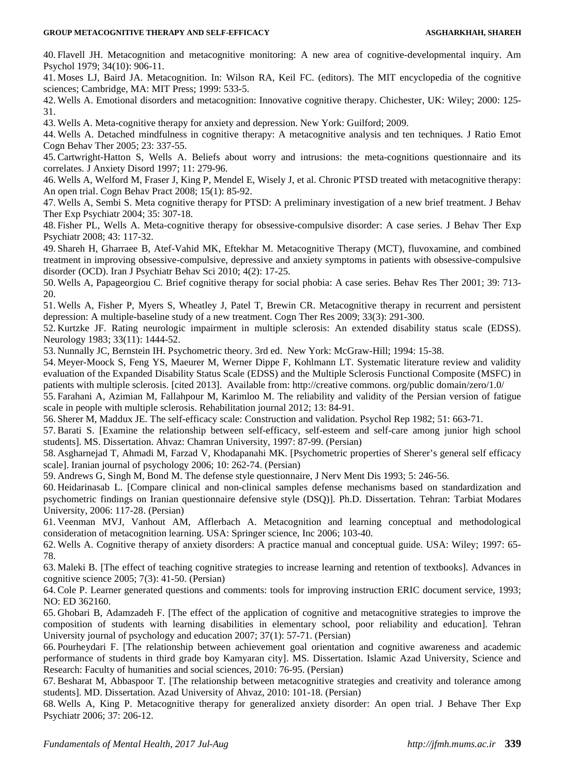40. Flavell JH. Metacognition and metacognitive monitoring: A new area of cognitive-developmental inquiry. Am Psychol 1979; 34(10): 906-11.

41. Moses LJ, Baird JA. Metacognition. In: Wilson RA, Keil FC. (editors). The MIT encyclopedia of the cognitive sciences; Cambridge, MA: MIT Press; 1999: 533-5.

42. Wells A. Emotional disorders and metacognition: Innovative cognitive therapy. Chichester, UK: Wiley; 2000: 125- 31.

43. Wells A. Meta-cognitive therapy for anxiety and depression. New York: Guilford; 2009.

44. Wells A. Detached mindfulness in cognitive therapy: A metacognitive analysis and ten techniques. J Ratio Emot Cogn Behav Ther 2005; 23: 337-55.

45. Cartwright-Hatton S, Wells A. Beliefs about worry and intrusions: the meta-cognitions questionnaire and its correlates. J Anxiety Disord 1997; 11: 279-96.

46. Wells A, Welford M, Fraser J, King P, Mendel E, Wisely J, et al. Chronic PTSD treated with metacognitive therapy: An open trial. Cogn Behav Pract 2008; 15(1): 85-92.

47. Wells A, Sembi S. Meta cognitive therapy for PTSD: A preliminary investigation of a new brief treatment. J Behav Ther Exp Psychiatr 2004; 35: 307-18.

48. Fisher PL, Wells A. Meta-cognitive therapy for obsessive-compulsive disorder: A case series. J Behav Ther Exp Psychiatr 2008; 43: 117-32.

49. Shareh H, Gharraee B, Atef-Vahid MK, Eftekhar M. Metacognitive Therapy (MCT), fluvoxamine, and combined treatment in improving obsessive-compulsive, depressive and anxiety symptoms in patients with obsessive-compulsive disorder (OCD). Iran J Psychiatr Behav Sci 2010; 4(2): 17-25.

50. Wells A, Papageorgiou C. Brief cognitive therapy for social phobia: A case series. Behav Res Ther 2001; 39: 713- 20.

51. Wells A, Fisher P, Myers S, Wheatley J, Patel T, Brewin CR. Metacognitive therapy in recurrent and persistent depression: A multiple-baseline study of a new treatment. Cogn Ther Res 2009; 33(3): 291-300.

52. Kurtzke JF. Rating neurologic impairment in multiple sclerosis: An extended disability status scale (EDSS). Neurology 1983; 33(11): 1444-52.

53. Nunnally JC, Bernstein IH. Psychometric theory. 3rd ed. New York: McGraw-Hill; 1994: 15-38.

54. Meyer-Moock S, Feng YS, Maeurer M, Werner Dippe F, Kohlmann LT. Systematic literature review and validity evaluation of the Expanded Disability Status Scale (EDSS) and the Multiple Sclerosis Functional Composite (MSFC) in patients with multiple sclerosis. [cited 2013]. Available from: http://creative commons. org/public domain/zero/1.0/

55. Farahani A, Azimian M, Fallahpour M, Karimloo M. The reliability and validity of the Persian version of fatigue scale in people with multiple sclerosis. Rehabilitation journal 2012; 13: 84-91.

56. Sherer M, Maddux JE. The self-efficacy scale: Construction and validation. Psychol Rep 1982; 51: 663-71.

57. Barati S. [Examine the relationship between self-efficacy, self-esteem and self-care among junior high school students]. MS. Dissertation. Ahvaz: Chamran University, 1997: 87-99. (Persian)

58. Asgharnejad T, Ahmadi M, Farzad V, Khodapanahi MK. [Psychometric properties of Sherer's general self efficacy scale]. Iranian journal of psychology 2006; 10: 262-74. (Persian)

59. Andrews G, Singh M, Bond M. The defense style questionnaire, J Nerv Ment Dis 1993; 5: 246-56.

60. Heidarinasab L. [Compare clinical and non-clinical samples defense mechanisms based on standardization and psychometric findings on Iranian questionnaire defensive style (DSQ)]. Ph.D. Dissertation. Tehran: Tarbiat Modares University, 2006: 117-28. (Persian)

61. Veenman MVJ, Vanhout AM, Afflerbach A. Metacognition and learning conceptual and methodological consideration of metacognition learning. USA: Springer science, Inc 2006; 103-40.

62. Wells A. Cognitive therapy of anxiety disorders: A practice manual and conceptual guide. USA: Wiley; 1997: 65- 78.

63. Maleki B. [The effect of teaching cognitive strategies to increase learning and retention of textbooks]. Advances in cognitive science 2005; 7(3): 41-50. (Persian)

64. Cole P. Learner generated questions and comments: tools for improving instruction ERIC document service, 1993; NO: ED 362160.

65. Ghobari B, Adamzadeh F. [The effect of the application of cognitive and metacognitive strategies to improve the composition of students with learning disabilities in elementary school, poor reliability and education]. Tehran University journal of psychology and education 2007; 37(1): 57-71. (Persian)

66. Pourheydari F. [The relationship between achievement goal orientation and cognitive awareness and academic performance of students in third grade boy Kamyaran city]. MS. Dissertation. Islamic Azad University, Science and Research: Faculty of humanities and social sciences, 2010: 76-95. (Persian)

67. Besharat M, Abbaspoor T. [The relationship between metacognitive strategies and creativity and tolerance among students]. MD. Dissertation. Azad University of Ahvaz, 2010: 101-18. (Persian)

68. Wells A, King P. Metacognitive therapy for generalized anxiety disorder: An open trial. J Behave Ther Exp Psychiatr 2006; 37: 206-12.